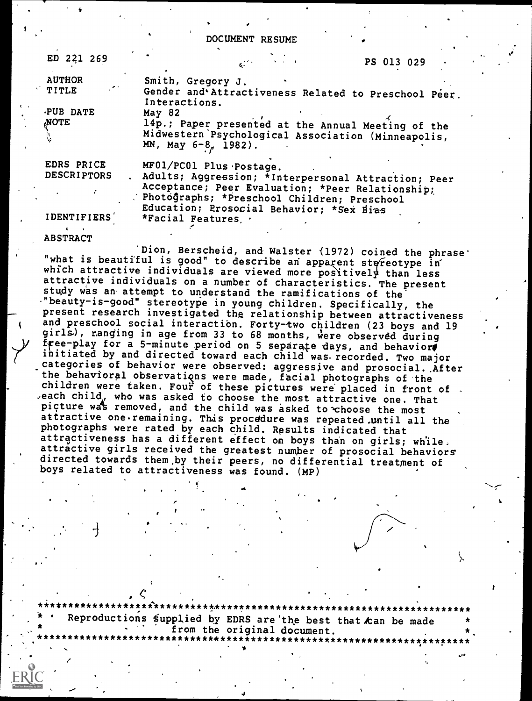DOCUMENT RESUME

| ED 221 269                                               | PS 013 029                                                                                                                                                                                                                    |  |
|----------------------------------------------------------|-------------------------------------------------------------------------------------------------------------------------------------------------------------------------------------------------------------------------------|--|
| <b>AUTHOR</b><br><b>TITLE</b><br>PUB DATE<br><b>NOTE</b> | Smith, Gregory J.<br>Gender and Attractiveness Related to Preschool Peer.<br>Interactions.<br>May 82                                                                                                                          |  |
|                                                          | 14p.; Paper presented at the Annual Meeting of the<br>Midwestern Psychological Association (Minneapolis,<br>MN, May 6-8, 1982).                                                                                               |  |
| EDRS PRICE<br><b>DESCRIPTORS</b>                         | MF01/PC01 Plus Postage.<br>Adults; Aggression; *Interpersonal Attraction; Peer<br>Acceptance; Peer Evaluation; *Peer Relationship;<br>Photographs; *Preschool Children; Preschool<br>Education; Prosocial Behavior; *Sex Bias |  |
| <b>IDENTIFIERS</b>                                       | *Facial Features. .                                                                                                                                                                                                           |  |

'Dion, Berscheid, and Walster (1972) coined the phrase'<br>"what is beautiful is good" to describe an apparent stereotype in which attractive individuals are viewed more positively than less attractive individuals on a number of characteristics. The present study was an attempt to understand the ramifications of the "beauty-is-good" stereotype in young children. Specifically, the present research investigated the relationship between attractiveness and preschool social interaction. Forty-two children (23 boys and 19 girls), ranging in age from 33 to 68 months, were observed during free-play for a 5-minute period on 5 separate days, and behavior initiated by and directed toward each child was recorded. Two major categories of behavior were observed: aggressive and prosocial. After the behavioral observations were made, facial photographs of the<br>children were taken. Four of these pictures were placed in front of. children were taken. Four of these pictures were placed in front of .<br>each child, who was asked to choose the most attractive one. That picture was removed, and the child was asked to choose the most attractive one.remaining. This procddure was repeated,until all the photographs were rated by each child. Results indicated that attractiveness has a different effect on boys than on girls; while. attractive girls received the greatest number of prosocial behaviors directed towards them ,by their peers, no differential treatment of boys related to attractiveness was found. (MP)

\*\*\*\*\*\*\*\*\*\*\*\*\*\*\*\*\*\*\*\*\*\*\*\*\*\*t.\*\*\*\*\*\*\*\*\*\*\*\*\*\*\*\*\*\*\*\*\*\*\*\*\*\*\*\*\*\*\*\*\*\*\*\*\*\*\*\*\*\* Reproductions supplied by EDRS are the best that can be made from the original document. \*. ,,,,,,,<br>\

4

 $\qquad \qquad$ 

ABSTRACT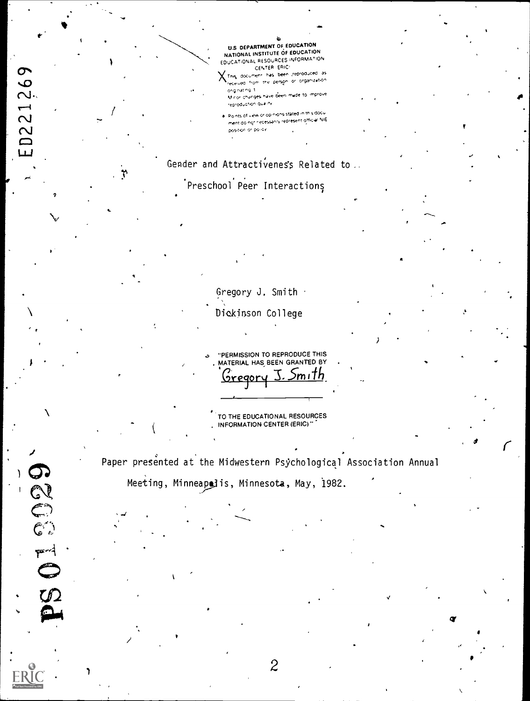U.S. DEPARTMENT OF EDUCATION NATIONAL INSTITUTE OF EDUCATION EDUCATIONAL RESOURCES INFORMATION CENTER ERICY

X This document has been reproduced as oliginating it Minor changes have been made to improve reproduction quality

. Points of view or opinions stated in this document doingt necessarily represent official NIE position or policy.

## Gender and Attractivenes's Related to.

# .<br>Preschool Peer Interactions

D221269

لىيا

COCO

 $50^{\circ}$ 

 $\mathbf{r}$ 

Gregory J. Smith . Dickinson College

"PERMISSION TO REPRODUCE THIS MATERIAL HAS BEEN GRANTED BY Gregory mıTh

TO THE EDUCATIONAL RESOURCES INFORMATION CENTER (ERIC)"

Paper presented at the Midwestern Psychological Association Annual

Meeting, Minneapolis, Minnesota, May, 1982.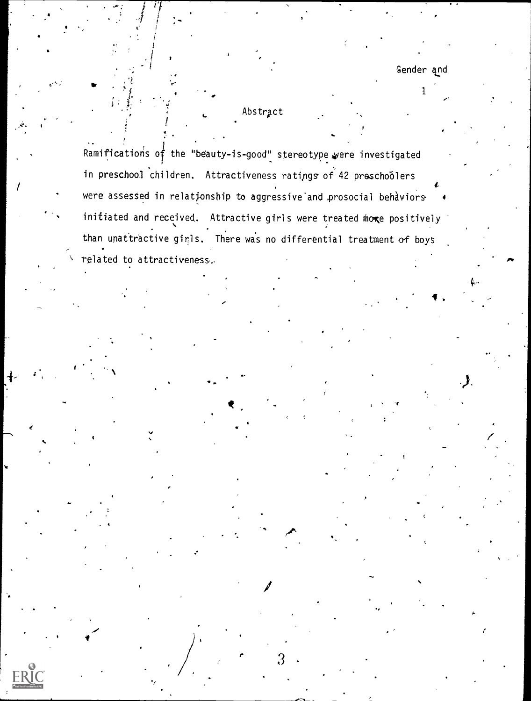### Abstract

Ramifications of the "beauty-is-good" stereotype were investigated in preschool children. Attractiveness ratings of 42 preschoolers were assessed in relationship to aggressive and prosocial behaviors initiated and received. Attractive girls were treated more positively than unattractive ginls. There was no differential treatment of boys related to attractiveness.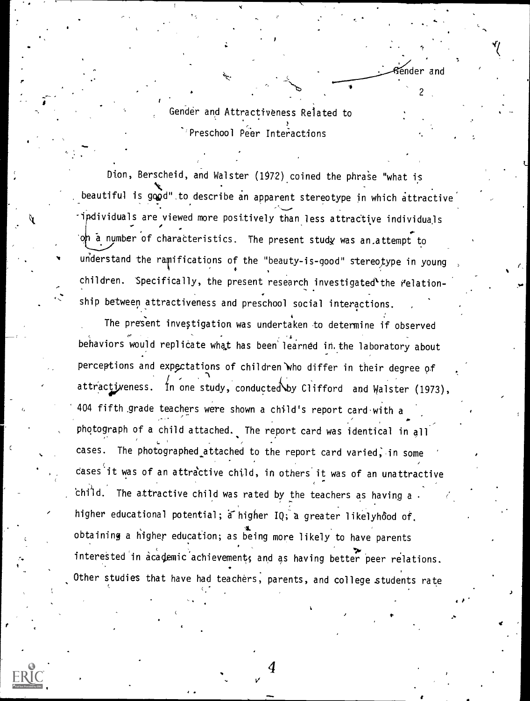Gender and Attractiveness Reiated to Preschool Peer Interactions

 $\overline{\bullet}$ nder and

 $\mathcal{L}$  and  $\mathcal{L}$ 

t in the second second in the second second second in the second second second in the second second second second second second second second second second second second second second second second second second second sec

ostem.

Dion, Berscheid, and Walster (1972) coined the phrase "what is beautiful is good" to describe an apparent stereotype in which attractive ipdividuals are viewed more positively than less attractive individuals a number of charatteristics. The present study was an,attempt to understand the ramifications of the "beauty-is-good" stereotype in young <code>children. Specifically, the present research investigated</code> the <code>relation-</code> ship between attractiveness and preschool social interactions.

The present investigation was undertaken to determine if observed behaviors would replicate what has been learned in the laboratory about perceptions and expectations of children who differ in their degree of attractiveness. In one study, conducted by Clifford and Walster (1973), 404 fifth .grade teachers were shown a child's report card.with <sup>a</sup> photograph of a child attached. The report card was identical in all cases. The photographed attached to the report card varied, in some cases it was of an attractive child, in others it was of an unattractive child. The attractive child was rated by the teachers as having a  $\epsilon$ higher educational potential;  $\tilde{a}$  higher IQ; a greater likelyhood of, obtaining a higher education; as being more likely to have parents interested in academic achievement, and as having better peer relations. Other studies that have had teachers, parents, and college students rate

 $-$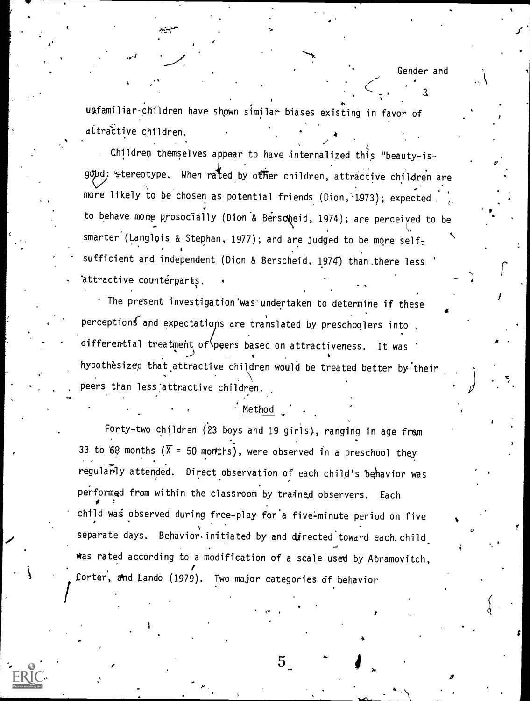a

 $\bullet$  . The set of  $\mathcal{L}$ 

 $\mathcal{F}$ 

 $\mathcal{P}$ 

a

uafamiliar-children have shown similar biases existing in favor of attractive children.

Children themselves appear to have internalized this "beauty-isgopd: stereotype. When rated by other children, attractive children are more likely to be chosen as potential friends (Dion, 1973); expected . to behave mone prosocially (Dion & Berscheid, 1974); are perceived to be .., smarter (Langlois & Stephan, 1977); and are judged to be more self-, 4 sufficient and independent (Dion & Berscheid,  $1974)$  than there less  $\hbox{ }^{\ast}$ attractive countérparts.

The present investigation'was'undertaken to determine if these perceptions and expectations are translated by preschoolers into , , differential treatment of peers based on attractiveness. It was hypothesized that attractive children would be treated better by their . . peers than less:attractive children.

#### Method

 $\epsilon$  , and the set of  $\epsilon$ 

Forty-two children (23 boys and 19 girls), ranging in age fram 33 to 68 months ( $\overline{X}$  = 50 months), were observed in a preschool they regularly attended. Direct observation of each child's behavior was performed from within the classroom by trained observers. Each child was observed during free-play for a five-minute period on five separate days. Behavior initiated by and directed toward each.child was rated according to a modification of a scale used by Abramovitch, Corter, dhd Lando (1979). Two major categories df behavior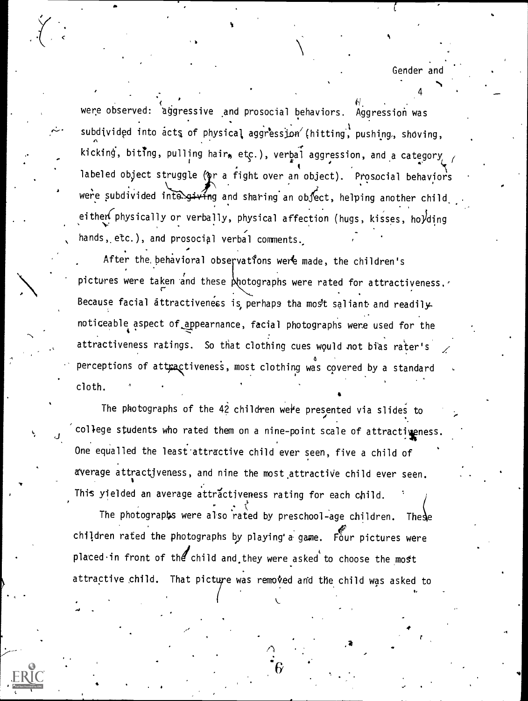Gender and

4

were observed: aggressive and prosocial behaviors. Aggression was subdivided into acts of physical aggression (hitting, pushing, shoving,  $\overline{f}$ ,  $\overline{f}$ kicking, biting, pulling hair, etc.), verbal aggression, and a category  $\ell$ labeled object struggle (or a fight over an object). Prosocial behaviors were subdivided inte giving and sharing an object, helping another child. either physically or verbally, physical affection (hugs, kisses, ho)ding hands, etc.), and prosocial verbal comments.

After the behavioral observations were made, the children's pictures were taken and these  $\frac{1}{2}$  hotographs were rated for attractiveness. Because facial attractiveness is, perhaps tha most saliant and readilynoticeable aspect of appearnance, facial photographs were used for the attractiveness ratings. So that clothing cues would not bias rater's perceptions of att $\mathfrak{g}_\mathtt{a}$ ctiveness, most clothing was covered by a standard  $\qquad \blacksquare$ cloth.

The photographs of the  $42$  children were presented via slides to college students who rated them on a nine-point scale of attractiveness. One equalled the least'attractive child ever seen, five a child of average attractiveness, and nine the most attractive child ever seen. This yielded an average attractiveness rating for each child.

The photographs were also rated by preschool-age children. These children rated the photographs by playing a game. Four pictures were placed $\cdot$  in front of the child and they were asked to choose the most attractive child. That picture was removed and the child was asked to

 $\mathcal{L}$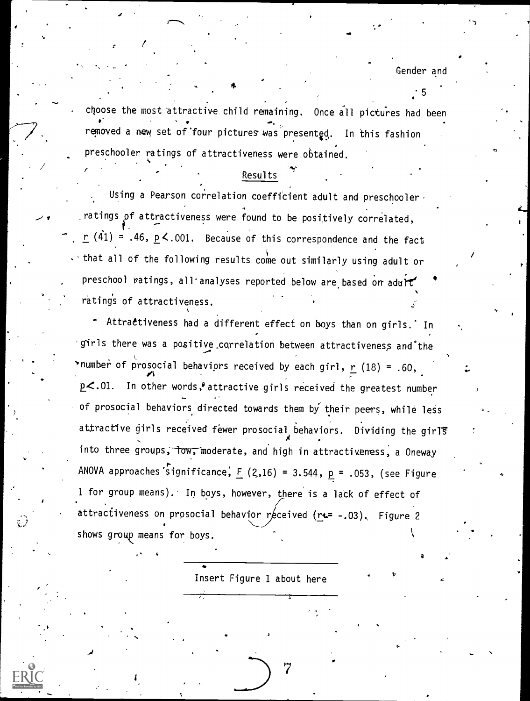5

choose the most attractive child remaining. Once all pictures had been , , removed a new set of four pictures was presented. In this fashion preschooler ratings of attractiveness were obtained.

\*

#### Results

Using a Pearson correlation coefficient adult and preschooler. .ratings of attractiveness were found to be positively correlated,  $r$  (41) = .46, <code>p</code>  $\le$  .001. Because of this correspondence and the fact  $\cdot$  that all of the following results come out similarly using adult or preschool ratings, all'analyses reported below are based or adult rating's of attractiveness.

 $\mathbf{v}$  and  $\mathbf{v}$ 

Attractiveness had a different effect on boys than on girls. In  $\bullet$ 'girls there was a positive correlation between attractiveness and the 'number of prosocial behaviors received by each girl,  $r(18) = .60$ ,  $p<.01$ . In other words, <sup>a</sup> attractive girls received the greatest number of prosocial behaviors directed towards them by their peers, while less duractive girls received fewer prosocial behaviors. Dividing the girls the state of the state of the state of t<br>And the state of the state of the state of the state of the state of the state of the state of the state of th into three groups, low, moderate, and high in attractiveness, a Oneway ANOVA approaches significance,  $F (2,16) = 3.544$ ,  $p = .053$ , (see Figure 1 for group means). In boys, however, there is a latk of effect of attractiveness on prosocial behavior received  $(re--.03)$ . Figure 2 shows group means for boys.

Insert Figure 1 about here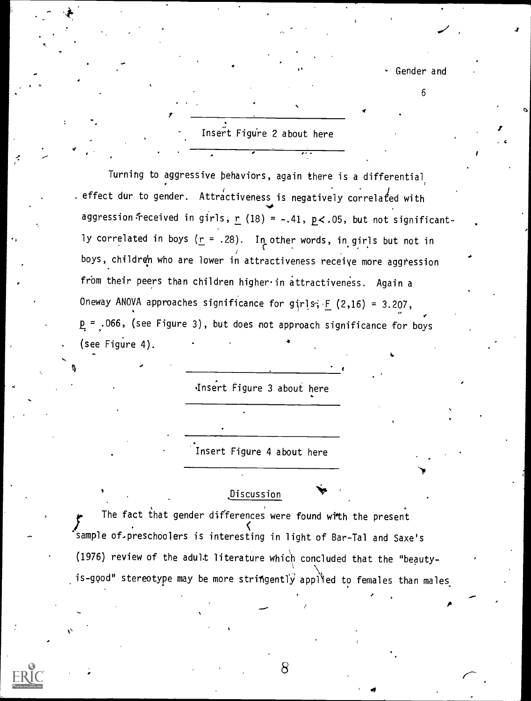- Gender and

+.

6

 $\mathbf{r}$ 

;

## Insert Figure 2 about here

Turning to aggressive behaviors, again there is a differential, . effect dur to gender. Attractiveness is negatively correlated with NO aggression $\cdot$ received in girls,  $\underline{r}$  (18) = -.41,  $\underline{p}$ <.05, but not significantly correlated in boys ( $\underline{r}$  = .28). In other words, in girls but not in boys, children who are lower in attractiveness receive more aggression from their peers than children higher in attractiveness. Again a Oneway ANOVA approaches significance for girls;  $F (2,16) = 3.207$ ,  $p = .066$ , (see Figure 3), but does not approach significance for boys (see Figure  $4$ ).

'Insert Figure 3 about here

Insert Figure 4 about here

### Discussion

The fact that gender differences were found with the present sample of,preschoolers is interesting in light of Bar-Tal and Saxe's (1976) review of the adult literature which concluded that the "beautyis-good" stereotype may be more stringently applied to females than males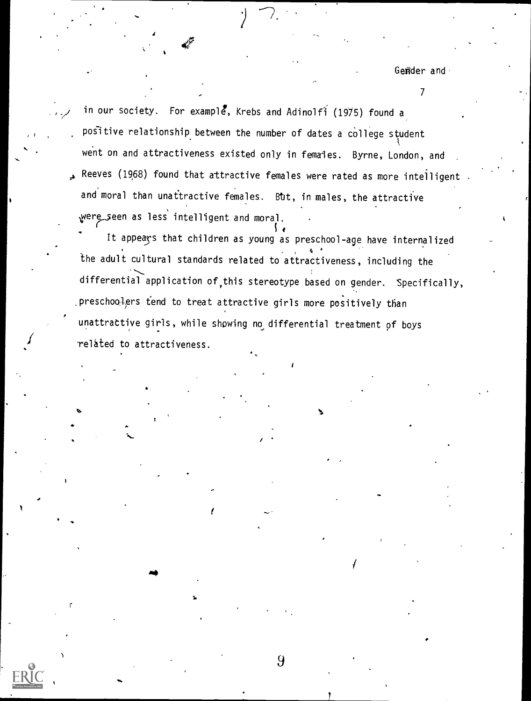Gender and

 $\mathcal{T}$  and  $\mathcal{T}$ 

in our society. For example, Krebs and Adinolfi (1975) found a positive relationship between the number of dates a college student went on and attractiveness existed only in females. Byrne, London, and 4 Reeves (1968) found that attractive females were rated as more intelligent . and moral than unattractive females. But, in males, the attractive were seen as less intelligent and moral.

*I* related to attractiveness. It appeays that children as young as preschool-age have internalized the adult cultural standards related to attractiveness, including the differential application of,this stereotype based on gender. Specifically, .preschoolers tend to treat attractive girls more positively than unattractive girls, while showing no differential treatment of boys

9

CS,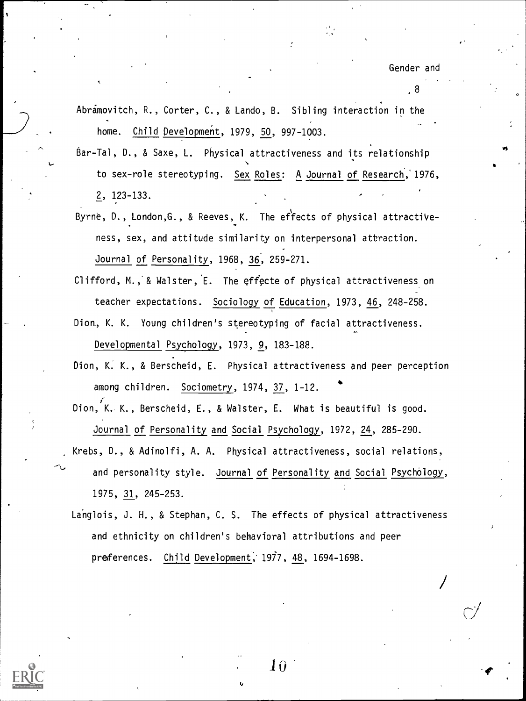,8

- Abramovitch, R., Corter, C., & Lando, B. Sibling interaction in the home. Child Development, 1979, 50, 997-1003.
- Bar-Tal, D., & Saxe, L. Physical attractiveness and its relationship to sex-role stereotyping. Sex Roles: A Journal of Research,'1976, 2, 123-133.
- Byrne, D., London, G., & Reeves, K. The effects of physical attractiveness, sex, and attitude similarity on interpersonal attraction. Journal of Personality, 1968, 36, 259-271.
- Clifford, M., & Walster,  $E$ . The effecte of physical attractiveness on teacher expectations. Sociology of Education, 1973, 46, 248-258.
- Dion, K. K. Young children's stereotyping of facial attractiveness. 4-a Developmental Psychology, 1973, 9, 183-188.
- Dion, K. K., & Berscheid, E. Physical attractiveness and peer perception among children. Sociometry, 1974, 37, 1-12.
- Dion, K. K., Berscheid, E., & Walster, E. What is beautiful is good. Journal of Personality and Social Psychology, 1972, 24, 285-290.
- Krebs, D., & Adinolfi, A. A. Physical attractiveness, social relations, and personality style. Journal of Personality and Social Psychology, 1975, 31, 245-253.
- Langlois, J. H., & Stephan, C. S. The effects of physical attractiveness and ethnicity on children's behavioral attributions and peer preferences. Child Development, 1977, 48, 1694-1698.



Īΰ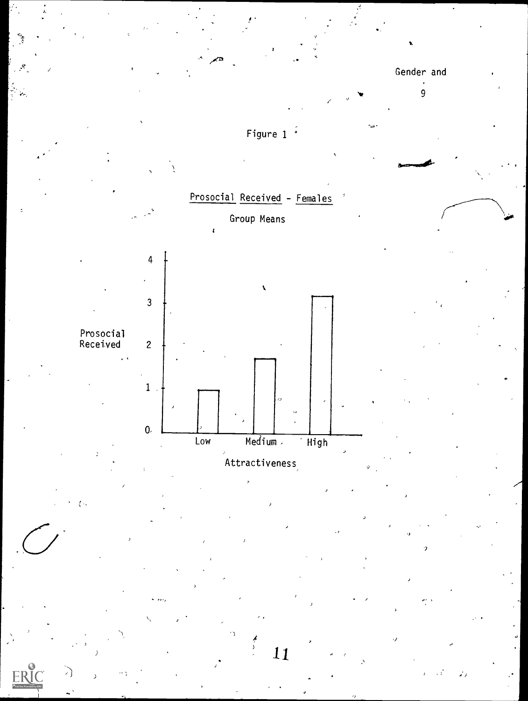

 $\frac{1}{2}$ Ÿ.

ER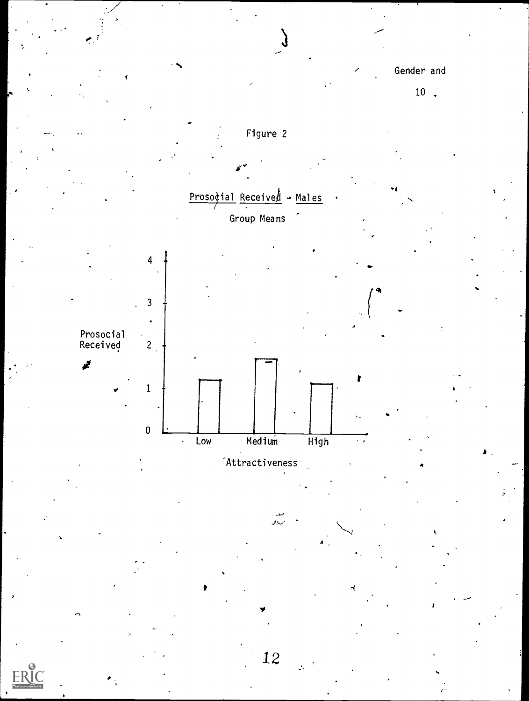Gender and

 $10$ .

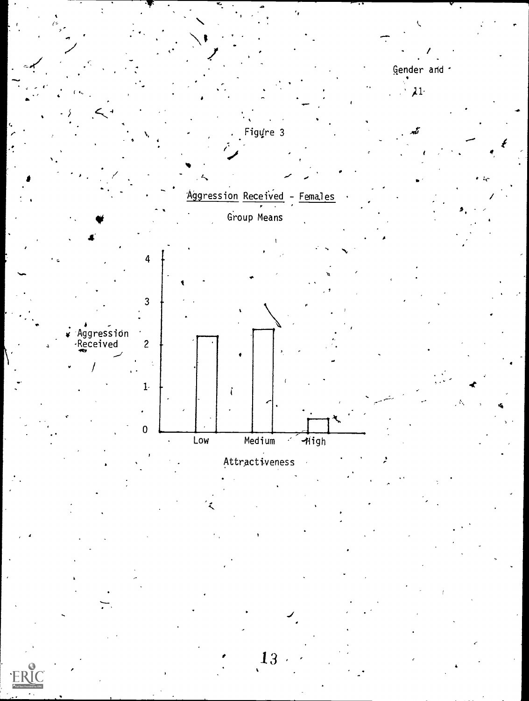

13

ЕR